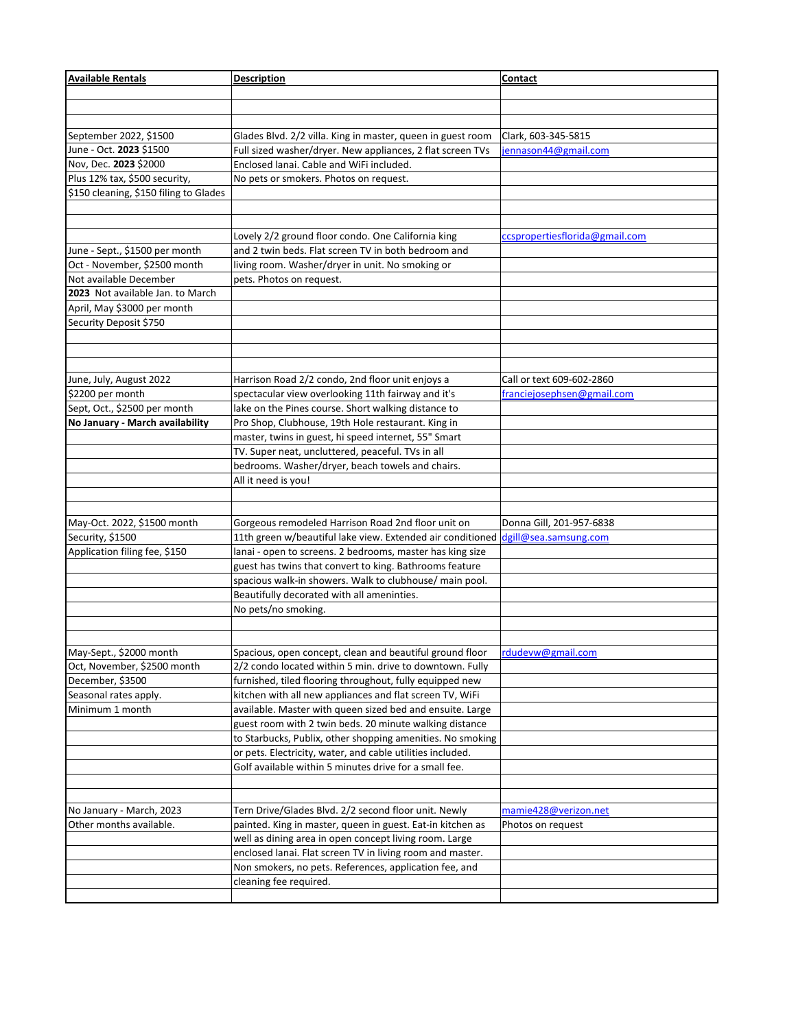| <b>Available Rentals</b>               | <b>Description</b>                                                               | Contact                        |
|----------------------------------------|----------------------------------------------------------------------------------|--------------------------------|
|                                        |                                                                                  |                                |
|                                        |                                                                                  |                                |
|                                        |                                                                                  |                                |
| September 2022, \$1500                 | Glades Blvd. 2/2 villa. King in master, queen in guest room                      | Clark, 603-345-5815            |
| June - Oct. 2023 \$1500                | Full sized washer/dryer. New appliances, 2 flat screen TVs                       | jennason44@gmail.com           |
| Nov, Dec. 2023 \$2000                  | Enclosed lanai. Cable and WiFi included.                                         |                                |
| Plus 12% tax, \$500 security,          | No pets or smokers. Photos on request.                                           |                                |
| \$150 cleaning, \$150 filing to Glades |                                                                                  |                                |
|                                        |                                                                                  |                                |
|                                        |                                                                                  |                                |
|                                        | Lovely 2/2 ground floor condo. One California king                               | ccspropertiesflorida@gmail.com |
| June - Sept., \$1500 per month         | and 2 twin beds. Flat screen TV in both bedroom and                              |                                |
| Oct - November, \$2500 month           | living room. Washer/dryer in unit. No smoking or                                 |                                |
| Not available December                 | pets. Photos on request.                                                         |                                |
| 2023 Not available Jan. to March       |                                                                                  |                                |
| April, May \$3000 per month            |                                                                                  |                                |
| Security Deposit \$750                 |                                                                                  |                                |
|                                        |                                                                                  |                                |
|                                        |                                                                                  |                                |
|                                        |                                                                                  |                                |
| June, July, August 2022                | Harrison Road 2/2 condo, 2nd floor unit enjoys a                                 | Call or text 609-602-2860      |
| \$2200 per month                       | spectacular view overlooking 11th fairway and it's                               | franciejosephsen@gmail.com     |
| Sept, Oct., \$2500 per month           | lake on the Pines course. Short walking distance to                              |                                |
| No January - March availability        | Pro Shop, Clubhouse, 19th Hole restaurant. King in                               |                                |
|                                        | master, twins in guest, hi speed internet, 55" Smart                             |                                |
|                                        | TV. Super neat, uncluttered, peaceful. TVs in all                                |                                |
|                                        | bedrooms. Washer/dryer, beach towels and chairs.                                 |                                |
|                                        | All it need is you!                                                              |                                |
|                                        |                                                                                  |                                |
|                                        |                                                                                  |                                |
| May-Oct. 2022, \$1500 month            | Gorgeous remodeled Harrison Road 2nd floor unit on                               | Donna Gill, 201-957-6838       |
| Security, \$1500                       | 11th green w/beautiful lake view. Extended air conditioned dgill@sea.samsung.com |                                |
| Application filing fee, \$150          | lanai - open to screens. 2 bedrooms, master has king size                        |                                |
|                                        | guest has twins that convert to king. Bathrooms feature                          |                                |
|                                        | spacious walk-in showers. Walk to clubhouse/ main pool.                          |                                |
|                                        | Beautifully decorated with all ameninties.                                       |                                |
|                                        | No pets/no smoking.                                                              |                                |
|                                        |                                                                                  |                                |
|                                        |                                                                                  |                                |
| May-Sept., \$2000 month                | Spacious, open concept, clean and beautiful ground floor  rdudevw@gmail.com      |                                |
| Oct, November, \$2500 month            | 2/2 condo located within 5 min. drive to downtown. Fully                         |                                |
| December, \$3500                       | furnished, tiled flooring throughout, fully equipped new                         |                                |
| Seasonal rates apply.                  | kitchen with all new appliances and flat screen TV, WiFi                         |                                |
| Minimum 1 month                        | available. Master with queen sized bed and ensuite. Large                        |                                |
|                                        | guest room with 2 twin beds. 20 minute walking distance                          |                                |
|                                        | to Starbucks, Publix, other shopping amenities. No smoking                       |                                |
|                                        | or pets. Electricity, water, and cable utilities included.                       |                                |
|                                        | Golf available within 5 minutes drive for a small fee.                           |                                |
|                                        |                                                                                  |                                |
|                                        |                                                                                  |                                |
| No January - March, 2023               | Tern Drive/Glades Blvd. 2/2 second floor unit. Newly                             | mamie 428@verizon.net          |
| Other months available.                | painted. King in master, queen in guest. Eat-in kitchen as                       | Photos on request              |
|                                        | well as dining area in open concept living room. Large                           |                                |
|                                        | enclosed lanai. Flat screen TV in living room and master.                        |                                |
|                                        | Non smokers, no pets. References, application fee, and                           |                                |
|                                        | cleaning fee required.                                                           |                                |
|                                        |                                                                                  |                                |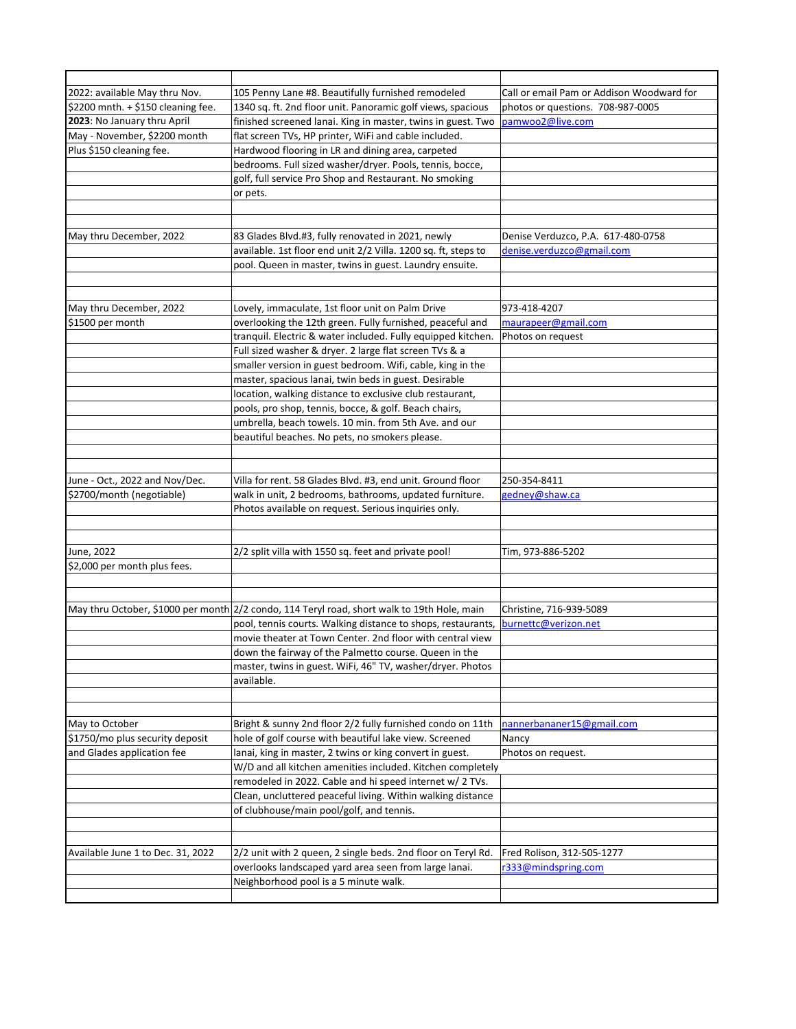| 2022: available May thru Nov.      | 105 Penny Lane #8. Beautifully furnished remodeled                                                                        | Call or email Pam or Addison Woodward for |
|------------------------------------|---------------------------------------------------------------------------------------------------------------------------|-------------------------------------------|
| \$2200 mnth. + \$150 cleaning fee. | 1340 sq. ft. 2nd floor unit. Panoramic golf views, spacious                                                               | photos or questions. 708-987-0005         |
| 2023: No January thru April        | finished screened lanai. King in master, twins in guest. Two                                                              | pamwoo2@live.com                          |
| May - November, \$2200 month       | flat screen TVs, HP printer, WiFi and cable included.                                                                     |                                           |
| Plus \$150 cleaning fee.           | Hardwood flooring in LR and dining area, carpeted                                                                         |                                           |
|                                    | bedrooms. Full sized washer/dryer. Pools, tennis, bocce,                                                                  |                                           |
|                                    | golf, full service Pro Shop and Restaurant. No smoking                                                                    |                                           |
|                                    | or pets.                                                                                                                  |                                           |
|                                    |                                                                                                                           |                                           |
|                                    |                                                                                                                           |                                           |
| May thru December, 2022            | 83 Glades Blvd.#3, fully renovated in 2021, newly                                                                         | Denise Verduzco, P.A. 617-480-0758        |
|                                    | available. 1st floor end unit 2/2 Villa. 1200 sq. ft, steps to                                                            | denise.verduzco@gmail.com                 |
|                                    | pool. Queen in master, twins in guest. Laundry ensuite.                                                                   |                                           |
|                                    |                                                                                                                           |                                           |
|                                    |                                                                                                                           | 973-418-4207                              |
| May thru December, 2022            | Lovely, immaculate, 1st floor unit on Palm Drive                                                                          |                                           |
| \$1500 per month                   | overlooking the 12th green. Fully furnished, peaceful and<br>tranquil. Electric & water included. Fully equipped kitchen. | maurapeer@gmail.com                       |
|                                    |                                                                                                                           | Photos on request                         |
|                                    | Full sized washer & dryer. 2 large flat screen TVs & a<br>smaller version in guest bedroom. Wifi, cable, king in the      |                                           |
|                                    | master, spacious lanai, twin beds in guest. Desirable                                                                     |                                           |
|                                    | location, walking distance to exclusive club restaurant,                                                                  |                                           |
|                                    | pools, pro shop, tennis, bocce, & golf. Beach chairs,                                                                     |                                           |
|                                    | umbrella, beach towels. 10 min. from 5th Ave. and our                                                                     |                                           |
|                                    | beautiful beaches. No pets, no smokers please.                                                                            |                                           |
|                                    |                                                                                                                           |                                           |
|                                    |                                                                                                                           |                                           |
| June - Oct., 2022 and Nov/Dec.     | Villa for rent. 58 Glades Blvd. #3, end unit. Ground floor                                                                | 250-354-8411                              |
| \$2700/month (negotiable)          | walk in unit, 2 bedrooms, bathrooms, updated furniture.                                                                   | gedney@shaw.ca                            |
|                                    | Photos available on request. Serious inquiries only.                                                                      |                                           |
|                                    |                                                                                                                           |                                           |
|                                    |                                                                                                                           |                                           |
| June, 2022                         | 2/2 split villa with 1550 sq. feet and private pool!                                                                      | Tim, 973-886-5202                         |
| \$2,000 per month plus fees.       |                                                                                                                           |                                           |
|                                    |                                                                                                                           |                                           |
|                                    |                                                                                                                           |                                           |
|                                    | May thru October, \$1000 per month 2/2 condo, 114 Teryl road, short walk to 19th Hole, main                               | Christine, 716-939-5089                   |
|                                    | pool, tennis courts. Walking distance to shops, restaurants,                                                              | burnettc@verizon.net                      |
|                                    | movie theater at Town Center. 2nd floor with central view                                                                 |                                           |
|                                    | down the fairway of the Palmetto course. Queen in the                                                                     |                                           |
|                                    | master, twins in guest. WiFi, 46" TV, washer/dryer. Photos                                                                |                                           |
|                                    | available.                                                                                                                |                                           |
|                                    |                                                                                                                           |                                           |
|                                    |                                                                                                                           |                                           |
| May to October                     | Bright & sunny 2nd floor 2/2 fully furnished condo on 11th                                                                | nannerbananer15@gmail.com                 |
| \$1750/mo plus security deposit    | hole of golf course with beautiful lake view. Screened                                                                    | Nancy                                     |
| and Glades application fee         | lanai, king in master, 2 twins or king convert in guest.                                                                  | Photos on request.                        |
|                                    | W/D and all kitchen amenities included. Kitchen completely                                                                |                                           |
|                                    | remodeled in 2022. Cable and hi speed internet w/ 2 TVs.                                                                  |                                           |
|                                    | Clean, uncluttered peaceful living. Within walking distance                                                               |                                           |
|                                    | of clubhouse/main pool/golf, and tennis.                                                                                  |                                           |
|                                    |                                                                                                                           |                                           |
| Available June 1 to Dec. 31, 2022  | 2/2 unit with 2 queen, 2 single beds. 2nd floor on Teryl Rd.                                                              | Fred Rolison, 312-505-1277                |
|                                    | overlooks landscaped yard area seen from large lanai.                                                                     | r333@mindspring.com                       |
|                                    | Neighborhood pool is a 5 minute walk.                                                                                     |                                           |
|                                    |                                                                                                                           |                                           |
|                                    |                                                                                                                           |                                           |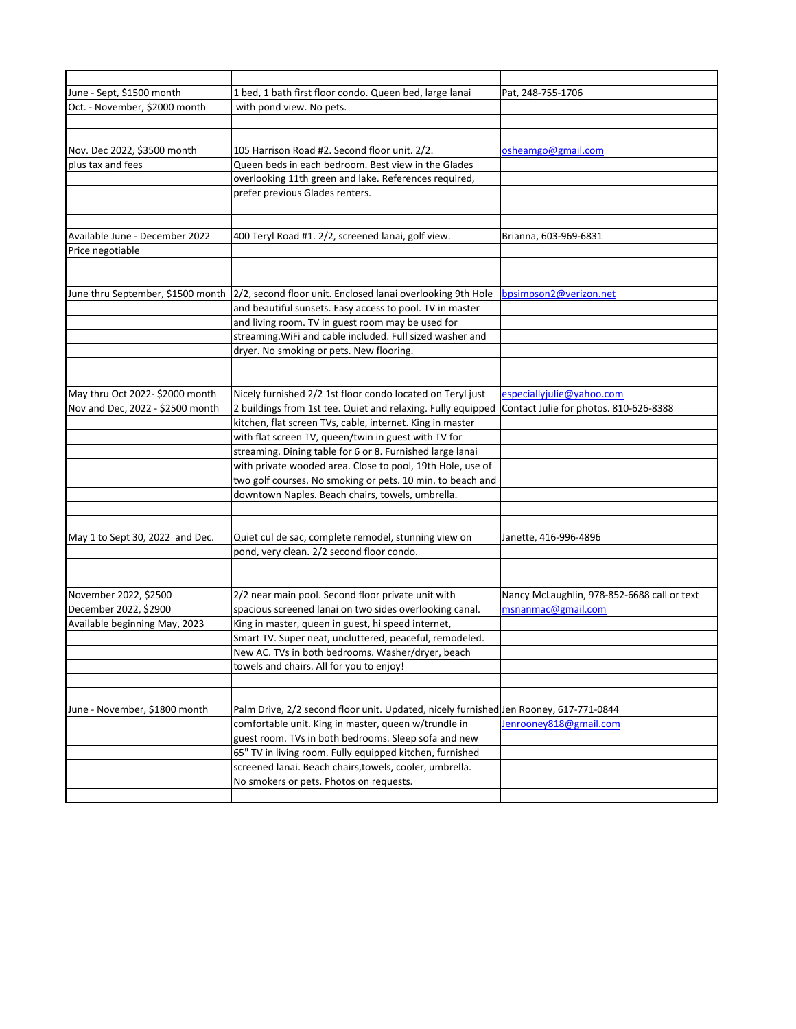| June - Sept, \$1500 month        | 1 bed, 1 bath first floor condo. Queen bed, large lanai                                       | Pat, 248-755-1706                           |
|----------------------------------|-----------------------------------------------------------------------------------------------|---------------------------------------------|
| Oct. - November, \$2000 month    | with pond view. No pets.                                                                      |                                             |
|                                  |                                                                                               |                                             |
|                                  |                                                                                               |                                             |
| Nov. Dec 2022, \$3500 month      | 105 Harrison Road #2. Second floor unit. 2/2.                                                 | osheamgo@gmail.com                          |
| plus tax and fees                | Queen beds in each bedroom. Best view in the Glades                                           |                                             |
|                                  | overlooking 11th green and lake. References required,                                         |                                             |
|                                  | prefer previous Glades renters.                                                               |                                             |
|                                  |                                                                                               |                                             |
|                                  |                                                                                               |                                             |
| Available June - December 2022   | 400 Teryl Road #1. 2/2, screened lanai, golf view.                                            | Brianna, 603-969-6831                       |
| Price negotiable                 |                                                                                               |                                             |
|                                  |                                                                                               |                                             |
|                                  |                                                                                               |                                             |
|                                  | June thru September, \$1500 month 2/2, second floor unit. Enclosed lanai overlooking 9th Hole | bpsimpson2@verizon.net                      |
|                                  | and beautiful sunsets. Easy access to pool. TV in master                                      |                                             |
|                                  | and living room. TV in guest room may be used for                                             |                                             |
|                                  | streaming. WiFi and cable included. Full sized washer and                                     |                                             |
|                                  | dryer. No smoking or pets. New flooring.                                                      |                                             |
|                                  |                                                                                               |                                             |
|                                  |                                                                                               |                                             |
| May thru Oct 2022-\$2000 month   | Nicely furnished 2/2 1st floor condo located on Teryl just                                    | especiallyjulie@yahoo.com                   |
| Nov and Dec, 2022 - \$2500 month | 2 buildings from 1st tee. Quiet and relaxing. Fully equipped                                  | Contact Julie for photos. 810-626-8388      |
|                                  | kitchen, flat screen TVs, cable, internet. King in master                                     |                                             |
|                                  | with flat screen TV, queen/twin in guest with TV for                                          |                                             |
|                                  | streaming. Dining table for 6 or 8. Furnished large lanai                                     |                                             |
|                                  | with private wooded area. Close to pool, 19th Hole, use of                                    |                                             |
|                                  | two golf courses. No smoking or pets. 10 min. to beach and                                    |                                             |
|                                  | downtown Naples. Beach chairs, towels, umbrella.                                              |                                             |
|                                  |                                                                                               |                                             |
|                                  |                                                                                               |                                             |
| May 1 to Sept 30, 2022 and Dec.  | Quiet cul de sac, complete remodel, stunning view on                                          | Janette, 416-996-4896                       |
|                                  | pond, very clean. 2/2 second floor condo.                                                     |                                             |
|                                  |                                                                                               |                                             |
|                                  |                                                                                               |                                             |
| November 2022, \$2500            | 2/2 near main pool. Second floor private unit with                                            | Nancy McLaughlin, 978-852-6688 call or text |
| December 2022, \$2900            | spacious screened lanai on two sides overlooking canal.                                       | msnanmac@gmail.com                          |
| Available beginning May, 2023    | King in master, queen in guest, hi speed internet,                                            |                                             |
|                                  | Smart TV. Super neat, uncluttered, peaceful, remodeled.                                       |                                             |
|                                  | New AC. TVs in both bedrooms. Washer/dryer, beach                                             |                                             |
|                                  | towels and chairs. All for you to enjoy!                                                      |                                             |
|                                  |                                                                                               |                                             |
|                                  |                                                                                               |                                             |
| June - November, \$1800 month    | Palm Drive, 2/2 second floor unit. Updated, nicely furnished Jen Rooney, 617-771-0844         |                                             |
|                                  | comfortable unit. King in master, queen w/trundle in                                          | Jenrooney818@gmail.com                      |
|                                  | guest room. TVs in both bedrooms. Sleep sofa and new                                          |                                             |
|                                  | 65" TV in living room. Fully equipped kitchen, furnished                                      |                                             |
|                                  | screened lanai. Beach chairs, towels, cooler, umbrella.                                       |                                             |
|                                  | No smokers or pets. Photos on requests.                                                       |                                             |
|                                  |                                                                                               |                                             |
|                                  |                                                                                               |                                             |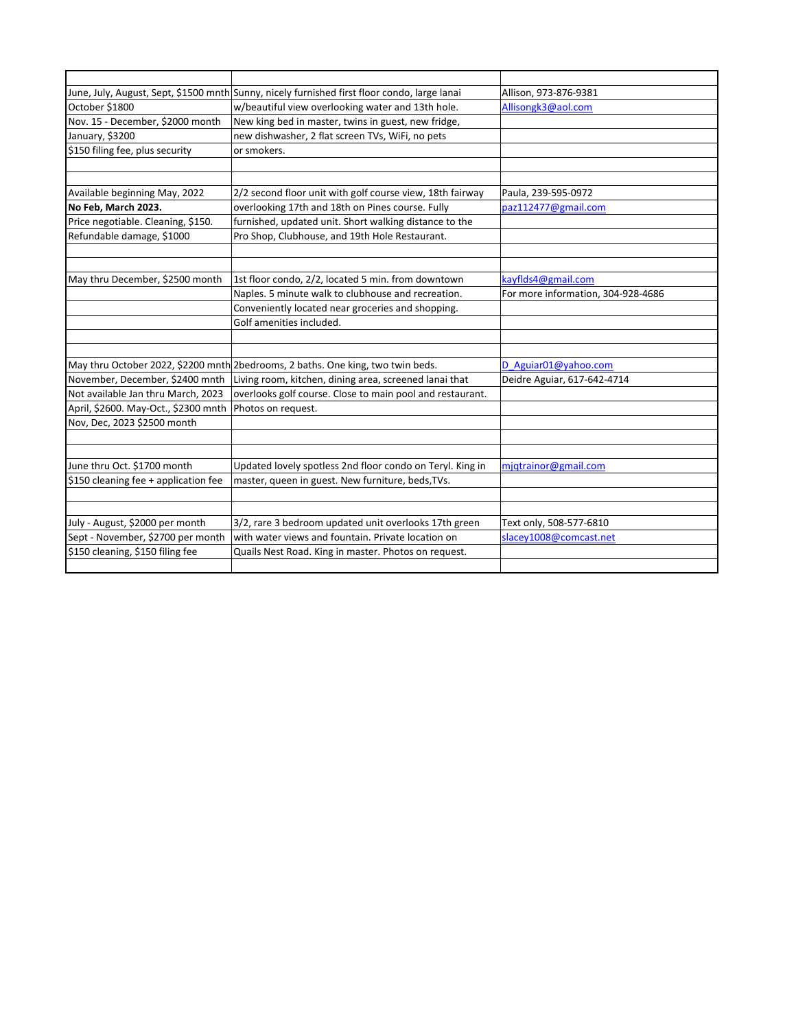|                                      | June, July, August, Sept, \$1500 mnth Sunny, nicely furnished first floor condo, large lanai | Allison, 973-876-9381              |
|--------------------------------------|----------------------------------------------------------------------------------------------|------------------------------------|
| October \$1800                       | w/beautiful view overlooking water and 13th hole.                                            | Allisongk3@aol.com                 |
| Nov. 15 - December, \$2000 month     | New king bed in master, twins in guest, new fridge,                                          |                                    |
| January, \$3200                      | new dishwasher, 2 flat screen TVs, WiFi, no pets                                             |                                    |
| \$150 filing fee, plus security      | or smokers.                                                                                  |                                    |
|                                      |                                                                                              |                                    |
|                                      |                                                                                              |                                    |
| Available beginning May, 2022        | 2/2 second floor unit with golf course view, 18th fairway                                    | Paula, 239-595-0972                |
| No Feb, March 2023.                  | overlooking 17th and 18th on Pines course. Fully                                             | paz112477@gmail.com                |
| Price negotiable. Cleaning, \$150.   | furnished, updated unit. Short walking distance to the                                       |                                    |
| Refundable damage, \$1000            | Pro Shop, Clubhouse, and 19th Hole Restaurant.                                               |                                    |
|                                      |                                                                                              |                                    |
|                                      |                                                                                              |                                    |
| May thru December, \$2500 month      | 1st floor condo, 2/2, located 5 min. from downtown                                           | kayflds4@gmail.com                 |
|                                      | Naples. 5 minute walk to clubhouse and recreation.                                           | For more information, 304-928-4686 |
|                                      | Conveniently located near groceries and shopping.                                            |                                    |
|                                      | Golf amenities included.                                                                     |                                    |
|                                      |                                                                                              |                                    |
|                                      |                                                                                              |                                    |
|                                      | May thru October 2022, \$2200 mnth 2bedrooms, 2 baths. One king, two twin beds.              | D Aguiar01@yahoo.com               |
| November, December, \$2400 mnth      | Living room, kitchen, dining area, screened lanai that                                       | Deidre Aguiar, 617-642-4714        |
| Not available Jan thru March, 2023   | overlooks golf course. Close to main pool and restaurant.                                    |                                    |
| April, \$2600. May-Oct., \$2300 mnth | Photos on request.                                                                           |                                    |
| Nov, Dec, 2023 \$2500 month          |                                                                                              |                                    |
|                                      |                                                                                              |                                    |
|                                      |                                                                                              |                                    |
| June thru Oct. \$1700 month          | Updated lovely spotless 2nd floor condo on Teryl. King in                                    | mjqtrainor@gmail.com               |
| \$150 cleaning fee + application fee | master, queen in guest. New furniture, beds, TVs.                                            |                                    |
|                                      |                                                                                              |                                    |
|                                      |                                                                                              |                                    |
| July - August, \$2000 per month      | 3/2, rare 3 bedroom updated unit overlooks 17th green                                        | Text only, 508-577-6810            |
| Sept - November, \$2700 per month    | with water views and fountain. Private location on                                           | slacey1008@comcast.net             |
| \$150 cleaning, \$150 filing fee     | Quails Nest Road. King in master. Photos on request.                                         |                                    |
|                                      |                                                                                              |                                    |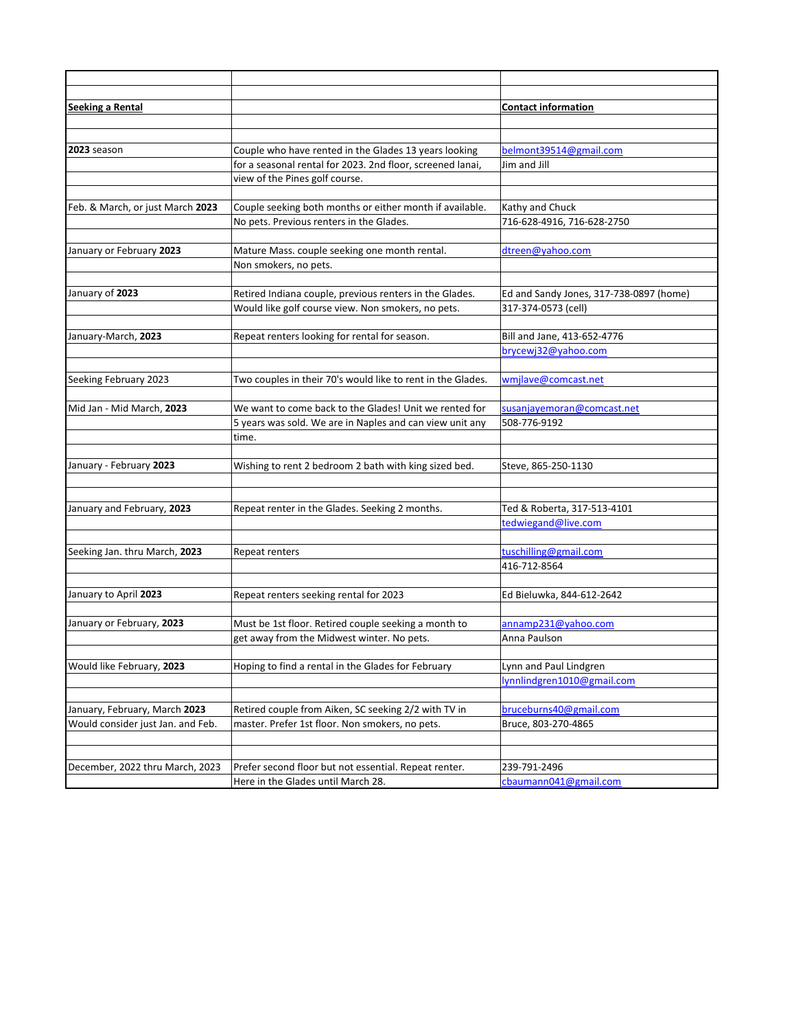| <b>Seeking a Rental</b>           |                                                                                             | <b>Contact information</b>              |
|-----------------------------------|---------------------------------------------------------------------------------------------|-----------------------------------------|
|                                   |                                                                                             |                                         |
|                                   |                                                                                             |                                         |
| 2023 season                       | Couple who have rented in the Glades 13 years looking                                       | belmont39514@gmail.com                  |
|                                   | for a seasonal rental for 2023. 2nd floor, screened lanai,                                  | Jim and Jill                            |
|                                   | view of the Pines golf course.                                                              |                                         |
|                                   |                                                                                             |                                         |
| Feb. & March, or just March 2023  | Couple seeking both months or either month if available.                                    | Kathy and Chuck                         |
|                                   | No pets. Previous renters in the Glades.                                                    | 716-628-4916, 716-628-2750              |
| January or February 2023          | Mature Mass. couple seeking one month rental.                                               | dtreen@yahoo.com                        |
|                                   | Non smokers, no pets.                                                                       |                                         |
|                                   |                                                                                             |                                         |
| January of 2023                   | Retired Indiana couple, previous renters in the Glades.                                     | Ed and Sandy Jones, 317-738-0897 (home) |
|                                   | Would like golf course view. Non smokers, no pets.                                          | 317-374-0573 (cell)                     |
|                                   |                                                                                             |                                         |
| January-March, 2023               | Repeat renters looking for rental for season.                                               | Bill and Jane, 413-652-4776             |
|                                   |                                                                                             | brycewj32@yahoo.com                     |
|                                   |                                                                                             |                                         |
| Seeking February 2023             | Two couples in their 70's would like to rent in the Glades.                                 | wmjlave@comcast.net                     |
|                                   |                                                                                             |                                         |
| Mid Jan - Mid March, 2023         | We want to come back to the Glades! Unit we rented for                                      | susanjayemoran@comcast.net              |
|                                   | 5 years was sold. We are in Naples and can view unit any                                    | 508-776-9192                            |
|                                   | time.                                                                                       |                                         |
|                                   |                                                                                             |                                         |
| January - February 2023           | Wishing to rent 2 bedroom 2 bath with king sized bed.                                       | Steve, 865-250-1130                     |
|                                   |                                                                                             |                                         |
| January and February, 2023        | Repeat renter in the Glades. Seeking 2 months.                                              | Ted & Roberta, 317-513-4101             |
|                                   |                                                                                             | tedwiegand@live.com                     |
|                                   |                                                                                             |                                         |
| Seeking Jan. thru March, 2023     | Repeat renters                                                                              | tuschilling@gmail.com                   |
|                                   |                                                                                             | 416-712-8564                            |
|                                   |                                                                                             |                                         |
| January to April 2023             | Repeat renters seeking rental for 2023                                                      | Ed Bieluwka, 844-612-2642               |
|                                   |                                                                                             |                                         |
| January or February, 2023         | Must be 1st floor. Retired couple seeking a month to                                        | annamp231@yahoo.com                     |
|                                   | get away from the Midwest winter. No pets.                                                  | Anna Paulson                            |
|                                   |                                                                                             |                                         |
| Would like February, 2023         | Hoping to find a rental in the Glades for February                                          | Lynn and Paul Lindgren                  |
|                                   |                                                                                             | lynnlindgren1010@gmail.com              |
|                                   |                                                                                             |                                         |
| January, February, March 2023     | Retired couple from Aiken, SC seeking 2/2 with TV in                                        | bruceburns40@gmail.com                  |
| Would consider just Jan. and Feb. | master. Prefer 1st floor. Non smokers, no pets.                                             | Bruce, 803-270-4865                     |
|                                   |                                                                                             |                                         |
|                                   |                                                                                             |                                         |
|                                   |                                                                                             |                                         |
| December, 2022 thru March, 2023   | Prefer second floor but not essential. Repeat renter.<br>Here in the Glades until March 28. | 239-791-2496<br>cbaumann041@gmail.com   |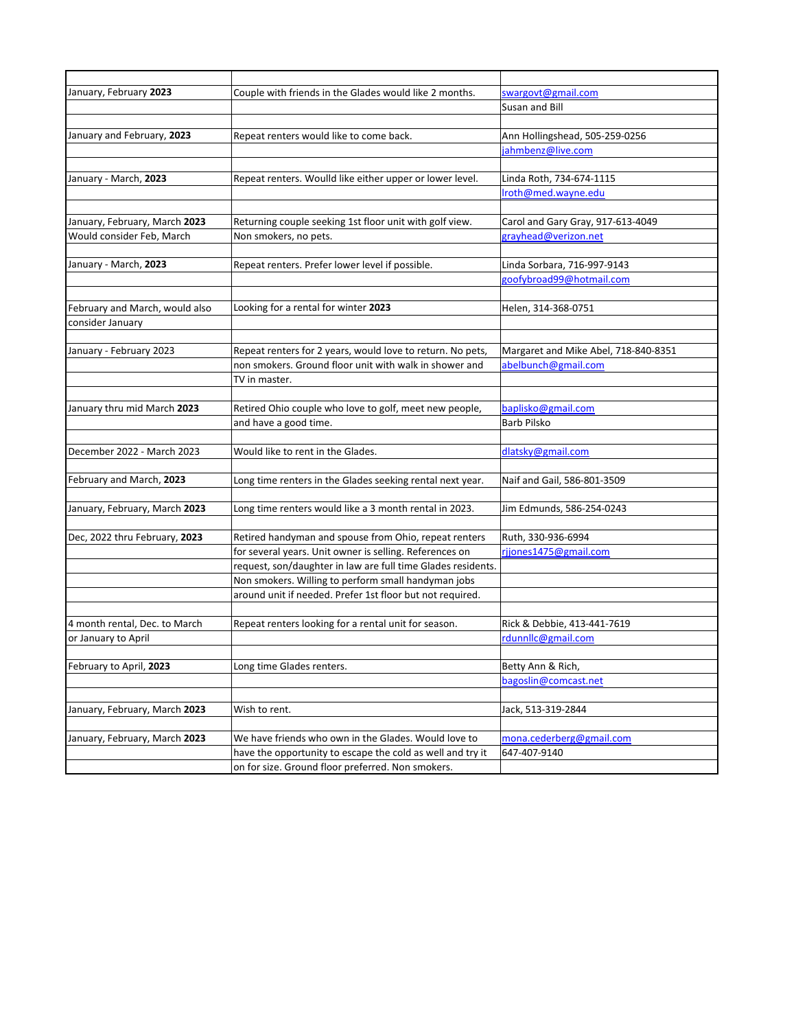| January, February 2023         | Couple with friends in the Glades would like 2 months.       | swargovt@gmail.com                   |
|--------------------------------|--------------------------------------------------------------|--------------------------------------|
|                                |                                                              | Susan and Bill                       |
|                                |                                                              |                                      |
| January and February, 2023     | Repeat renters would like to come back.                      | Ann Hollingshead, 505-259-0256       |
|                                |                                                              | jahmbenz@live.com                    |
| January - March, 2023          | Repeat renters. Woulld like either upper or lower level.     | Linda Roth, 734-674-1115             |
|                                |                                                              | Iroth@med.wayne.edu                  |
|                                |                                                              |                                      |
| January, February, March 2023  | Returning couple seeking 1st floor unit with golf view.      | Carol and Gary Gray, 917-613-4049    |
| Would consider Feb, March      | Non smokers, no pets.                                        | grayhead@verizon.net                 |
| January - March, 2023          | Repeat renters. Prefer lower level if possible.              | Linda Sorbara, 716-997-9143          |
|                                |                                                              | goofybroad99@hotmail.com             |
| February and March, would also | Looking for a rental for winter 2023                         | Helen, 314-368-0751                  |
| consider January               |                                                              |                                      |
|                                |                                                              |                                      |
| January - February 2023        | Repeat renters for 2 years, would love to return. No pets,   | Margaret and Mike Abel, 718-840-8351 |
|                                | non smokers. Ground floor unit with walk in shower and       | abelbunch@gmail.com                  |
|                                | TV in master.                                                |                                      |
| January thru mid March 2023    | Retired Ohio couple who love to golf, meet new people,       | baplisko@gmail.com                   |
|                                | and have a good time.                                        | <b>Barb Pilsko</b>                   |
|                                |                                                              |                                      |
| December 2022 - March 2023     | Would like to rent in the Glades.                            | dlatsky@gmail.com                    |
| February and March, 2023       | Long time renters in the Glades seeking rental next year.    | Naif and Gail, 586-801-3509          |
|                                |                                                              |                                      |
| January, February, March 2023  | Long time renters would like a 3 month rental in 2023.       | Jim Edmunds, 586-254-0243            |
| Dec, 2022 thru February, 2023  | Retired handyman and spouse from Ohio, repeat renters        | Ruth, 330-936-6994                   |
|                                | for several years. Unit owner is selling. References on      | rjjones1475@gmail.com                |
|                                | request, son/daughter in law are full time Glades residents. |                                      |
|                                | Non smokers. Willing to perform small handyman jobs          |                                      |
|                                | around unit if needed. Prefer 1st floor but not required.    |                                      |
|                                |                                                              |                                      |
| 4 month rental, Dec. to March  | Repeat renters looking for a rental unit for season.         | Rick & Debbie, 413-441-7619          |
| or January to April            |                                                              | rdunnllc@gmail.com                   |
| February to April, 2023        | Long time Glades renters.                                    | Betty Ann & Rich,                    |
|                                |                                                              | bagoslin@comcast.net                 |
| January, February, March 2023  | Wish to rent.                                                | Jack, 513-319-2844                   |
|                                |                                                              |                                      |
| January, February, March 2023  | We have friends who own in the Glades. Would love to         | mona.cederberg@gmail.com             |
|                                | have the opportunity to escape the cold as well and try it   | 647-407-9140                         |
|                                | on for size. Ground floor preferred. Non smokers.            |                                      |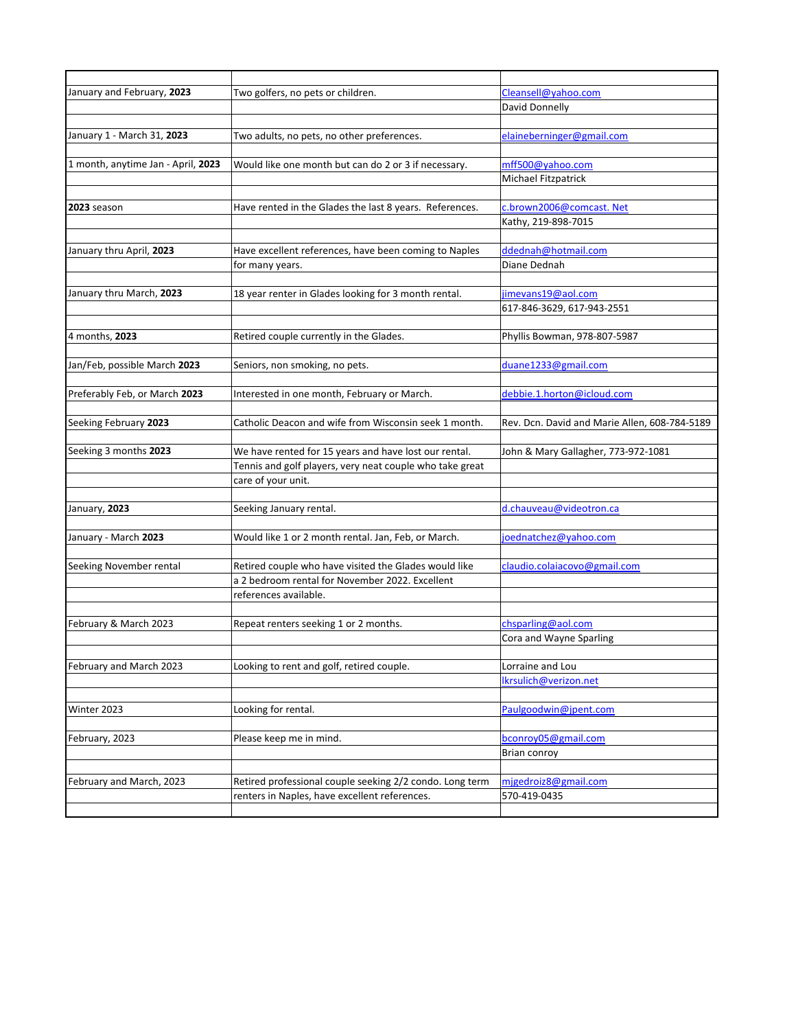| January and February, 2023         | Two golfers, no pets or children.                        | Cleansell@vahoo.com                           |
|------------------------------------|----------------------------------------------------------|-----------------------------------------------|
|                                    |                                                          | David Donnelly                                |
|                                    |                                                          |                                               |
| January 1 - March 31, 2023         | Two adults, no pets, no other preferences.               | elaineberninger@gmail.com                     |
|                                    |                                                          |                                               |
| 1 month, anytime Jan - April, 2023 | Would like one month but can do 2 or 3 if necessary.     | mff500@yahoo.com                              |
|                                    |                                                          | Michael Fitzpatrick                           |
|                                    |                                                          |                                               |
| 2023 season                        | Have rented in the Glades the last 8 years. References.  | c.brown2006@comcast. Net                      |
|                                    |                                                          | Kathy, 219-898-7015                           |
|                                    |                                                          |                                               |
| January thru April, 2023           | Have excellent references, have been coming to Naples    | ddednah@hotmail.com                           |
|                                    | for many years.                                          | Diane Dednah                                  |
|                                    |                                                          |                                               |
| January thru March, 2023           | 18 year renter in Glades looking for 3 month rental.     | jimevans19@aol.com                            |
|                                    |                                                          | 617-846-3629, 617-943-2551                    |
|                                    |                                                          |                                               |
| 4 months, 2023                     | Retired couple currently in the Glades.                  | Phyllis Bowman, 978-807-5987                  |
|                                    |                                                          |                                               |
| Jan/Feb, possible March 2023       | Seniors, non smoking, no pets.                           | duane1233@gmail.com                           |
|                                    |                                                          |                                               |
| Preferably Feb, or March 2023      | Interested in one month, February or March.              | debbie.1.horton@icloud.com                    |
|                                    |                                                          |                                               |
| Seeking February 2023              | Catholic Deacon and wife from Wisconsin seek 1 month.    | Rev. Dcn. David and Marie Allen, 608-784-5189 |
|                                    |                                                          |                                               |
| Seeking 3 months 2023              | We have rented for 15 years and have lost our rental.    | John & Mary Gallagher, 773-972-1081           |
|                                    | Tennis and golf players, very neat couple who take great |                                               |
|                                    | care of your unit.                                       |                                               |
|                                    |                                                          |                                               |
| January, 2023                      | Seeking January rental.                                  | d.chauveau@videotron.ca                       |
|                                    |                                                          |                                               |
| January - March 2023               | Would like 1 or 2 month rental. Jan, Feb, or March.      | joednatchez@yahoo.com                         |
|                                    |                                                          |                                               |
| Seeking November rental            | Retired couple who have visited the Glades would like    | claudio.colaiacovo@gmail.com                  |
|                                    | a 2 bedroom rental for November 2022. Excellent          |                                               |
|                                    | references available.                                    |                                               |
|                                    |                                                          |                                               |
| February & March 2023              | Repeat renters seeking 1 or 2 months.                    | chsparling@aol.com                            |
|                                    |                                                          | Cora and Wayne Sparling                       |
|                                    |                                                          |                                               |
| February and March 2023            | Looking to rent and golf, retired couple.                | Lorraine and Lou                              |
|                                    |                                                          | Ikrsulich@verizon.net                         |
|                                    |                                                          |                                               |
| Winter 2023                        | Looking for rental.                                      | Paulgoodwin@jpent.com                         |
|                                    |                                                          |                                               |
| February, 2023                     | Please keep me in mind.                                  | bconroy05@gmail.com                           |
|                                    |                                                          | Brian conroy                                  |
|                                    |                                                          |                                               |
| February and March, 2023           | Retired professional couple seeking 2/2 condo. Long term | mjgedroiz8@gmail.com                          |
|                                    | renters in Naples, have excellent references.            | 570-419-0435                                  |
|                                    |                                                          |                                               |